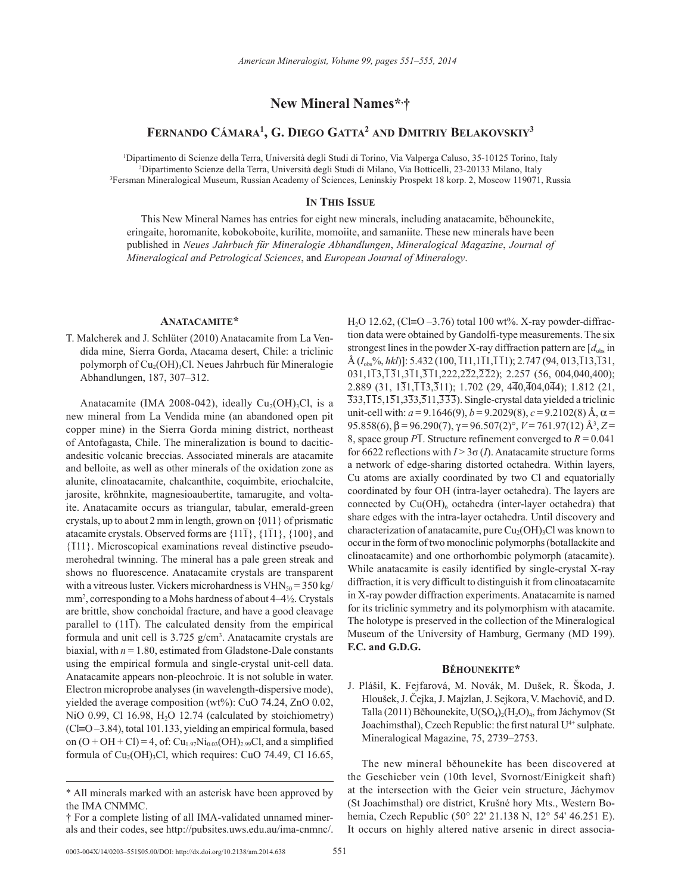# **New Mineral Names\*, †**

# **Fernando Cámara1 , G. Diego Gatta2 and Dmitriy Belakovskiy3**

1 Dipartimento di Scienze della Terra, Università degli Studi di Torino, Via Valperga Caluso, 35-10125 Torino, Italy 2 Dipartimento Scienze della Terra, Università degli Studi di Milano, Via Botticelli, 23-20133 Milano, Italy 3 Fersman Mineralogical Museum, Russian Academy of Sciences, Leninskiy Prospekt 18 korp. 2, Moscow 119071, Russia

### **In This Issue**

This New Mineral Names has entries for eight new minerals, including anatacamite, běhounekite, eringaite, horomanite, kobokoboite, kurilite, momoiite, and samaniite. These new minerals have been published in *Neues Jahrbuch für Mineralogie Abhandlungen*, *Mineralogical Magazine*, *Journal of Mineralogical and Petrological Sciences*, and *European Journal of Mineralogy*.

## **Anatacamite\***

T. Malcherek and J. Schlüter (2010) Anatacamite from La Vendida mine, Sierra Gorda, Atacama desert, Chile: a triclinic polymorph of Cu<sub>2</sub>(OH)<sub>3</sub>Cl. Neues Jahrbuch für Mineralogie Abhandlungen, 187, 307–312.

Anatacamite (IMA 2008-042), ideally  $Cu<sub>2</sub>(OH)<sub>3</sub>Cl$ , is a new mineral from La Vendida mine (an abandoned open pit copper mine) in the Sierra Gorda mining district, northeast of Antofagasta, Chile. The mineralization is bound to daciticandesitic volcanic breccias. Associated minerals are atacamite and belloite, as well as other minerals of the oxidation zone as alunite, clinoatacamite, chalcanthite, coquimbite, eriochalcite, jarosite, kröhnkite, magnesioaubertite, tamarugite, and voltaite. Anatacamite occurs as triangular, tabular, emerald-green crystals, up to about 2 mm in length, grown on {011} of prismatic atacamite crystals. Observed forms are  $\{11\bar{1}\}, \{1\bar{1}1\}, \{100\},$  and {111}. Microscopical examinations reveal distinctive pseudomerohedral twinning. The mineral has a pale green streak and shows no fluorescence. Anatacamite crystals are transparent with a vitreous luster. Vickers microhardness is  $VHN<sub>50</sub> = 350 kg/$ mm2 , corresponding to a Mohs hardness of about 4–4½. Crystals are brittle, show conchoidal fracture, and have a good cleavage parallel to  $(11\bar{1})$ . The calculated density from the empirical formula and unit cell is 3.725 g/cm<sup>3</sup>. Anatacamite crystals are biaxial, with  $n = 1.80$ , estimated from Gladstone-Dale constants using the empirical formula and single-crystal unit-cell data. Anatacamite appears non-pleochroic. It is not soluble in water. Electron microprobe analyses (in wavelength-dispersive mode), yielded the average composition (wt%): CuO 74.24, ZnO 0.02, NiO 0.99, Cl 16.98, H<sub>2</sub>O 12.74 (calculated by stoichiometry) (Cl≡O –3.84), total 101.133, yielding an empirical formula, based on  $(O + OH + Cl) = 4$ , of:  $Cu_{1.97}Ni_{0.03}(OH)_{2.99}Cl$ , and a simplified formula of  $Cu<sub>2</sub>(OH)<sub>3</sub>Cl$ , which requires: CuO 74.49, Cl 16.65,

H<sub>2</sub>O 12.62, (Cl≡O –3.76) total 100 wt%. X-ray powder-diffraction data were obtained by Gandolfi-type measurements. The six strongest lines in the powder X-ray diffraction pattern are  $[d_{obs}]$  in  $\hat{A}$  ( $I_{obs}$ %, *hkl*)]: 5.432 (100,  $\overline{1}11,1\overline{1}1,\overline{1}\overline{1}1$ ); 2.747 (94, 013, $\overline{1}13,\overline{1}31$ , 031,113,131,311,311,222,222,222); 2.257 (56, 004,040,400); 2.889 (31, 131,113,311); 1.702 (29, 440,404,044); 1.812 (21,  $\overline{3}33,\overline{1}15,1\overline{5}1,3\overline{3}3,\overline{5}11,\overline{3}3\overline{3})$ . Single-crystal data yielded a triclinic unit-cell with:  $a = 9.1646(9)$ ,  $b = 9.2029(8)$ ,  $c = 9.2102(8)$  Å,  $\alpha =$ 95.858(6), β = 96.290(7),  $\gamma$  = 96.507(2)°, *V* = 761.97(12) Å<sup>3</sup>, Z = 8, space group  $\overline{P1}$ . Structure refinement converged to  $R = 0.041$ for 6622 reflections with  $I > 3\sigma(I)$ . Anatacamite structure forms a network of edge-sharing distorted octahedra. Within layers, Cu atoms are axially coordinated by two Cl and equatorially coordinated by four OH (intra-layer octahedra). The layers are connected by  $Cu(OH)_{6}$  octahedra (inter-layer octahedra) that share edges with the intra-layer octahedra. Until discovery and characterization of anatacamite, pure  $Cu<sub>2</sub>(OH)<sub>3</sub>Cl$  was known to occur in the form of two monoclinic polymorphs (botallackite and clinoatacamite) and one orthorhombic polymorph (atacamite). While anatacamite is easily identified by single-crystal X-ray diffraction, it is very difficult to distinguish it from clinoatacamite in X-ray powder diffraction experiments. Anatacamite is named for its triclinic symmetry and its polymorphism with atacamite. The holotype is preserved in the collection of the Mineralogical Museum of the University of Hamburg, Germany (MD 199). **F.C. and G.D.G.**

# **Běhounekite\***

J. Plášil, K. Fejfarová, M. Novák, M. Dušek, R. Škoda, J. Hloušek, J. Čejka, J. Majzlan, J. Sejkora, V. Machovič, and D. Talla (2011) Běhounekite,  $U(SO_4)_{2}(H_2O)_4$ , from Jáchymov (St Joachimsthal), Czech Republic: the first natural U<sup>4+</sup> sulphate. Mineralogical Magazine, 75, 2739–2753.

The new mineral běhounekite has been discovered at the Geschieber vein (10th level, Svornost/Einigkeit shaft) at the intersection with the Geier vein structure, Jáchymov (St Joachimsthal) ore district, Krušné hory Mts., Western Bohemia, Czech Republic (50° 22' 21.138 N, 12° 54' 46.251 E). It occurs on highly altered native arsenic in direct associa-

<sup>\*</sup> All minerals marked with an asterisk have been approved by the IMA CNMMC.

<sup>†</sup> For a complete listing of all IMA-validated unnamed minerals and their codes, see http://pubsites.uws.edu.au/ima-cnmnc/.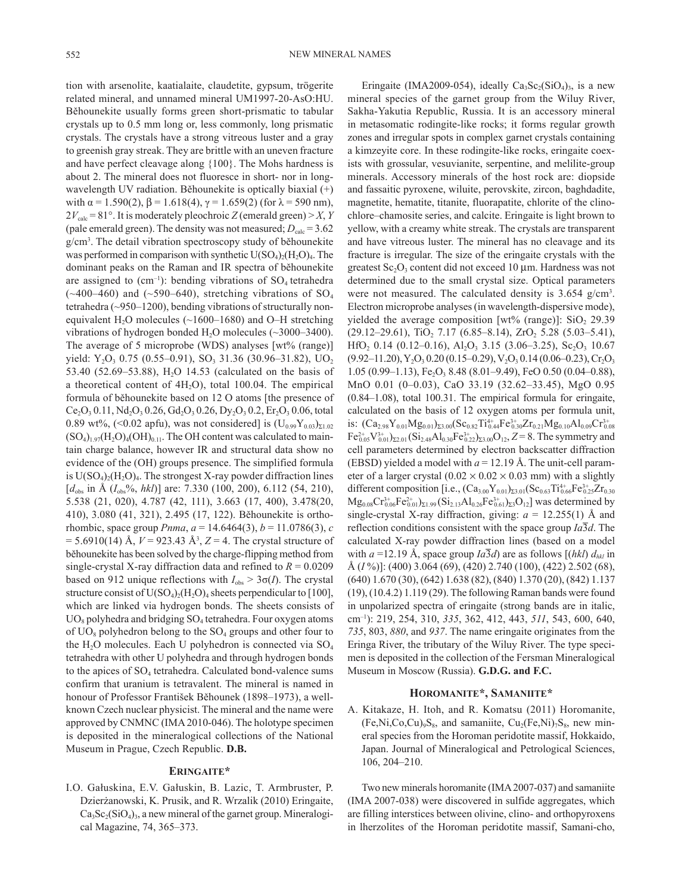tion with arsenolite, kaatialaite, claudetite, gypsum, trögerite related mineral, and unnamed mineral UM1997-20-AsO:HU. Běhounekite usually forms green short-prismatic to tabular crystals up to 0.5 mm long or, less commonly, long prismatic crystals. The crystals have a strong vitreous luster and a gray to greenish gray streak. They are brittle with an uneven fracture and have perfect cleavage along {100}. The Mohs hardness is about 2. The mineral does not fluoresce in short- nor in longwavelength UV radiation. Běhounekite is optically biaxial (+) with  $\alpha$  = 1.590(2),  $\beta$  = 1.618(4),  $\gamma$  = 1.659(2) (for  $\lambda$  = 590 nm),  $2V_{\text{calc}} = 81^{\circ}$ . It is moderately pleochroic *Z* (emerald green) > *X*, *Y* (pale emerald green). The density was not measured;  $D_{\text{calc}} = 3.62$ g/cm3 . The detail vibration spectroscopy study of běhounekite was performed in comparison with synthetic  $U(SO<sub>4</sub>)<sub>2</sub>(H<sub>2</sub>O)<sub>4</sub>$ . The dominant peaks on the Raman and IR spectra of běhounekite are assigned to  $(cm^{-1})$ : bending vibrations of  $SO_4$  tetrahedra  $(\sim 400-460)$  and  $(\sim 590-640)$ , stretching vibrations of SO<sub>4</sub> tetrahedra (~950–1200), bending vibrations of structurally nonequivalent H<sub>2</sub>O molecules ( $\sim$ 1600–1680) and O–H stretching vibrations of hydrogen bonded  $H_2O$  molecules (~3000–3400). The average of 5 microprobe (WDS) analyses [wt% (range)] yield:  $Y_2O_3$  0.75 (0.55–0.91), SO<sub>3</sub> 31.36 (30.96–31.82), UO<sub>2</sub> 53.40 (52.69–53.88), H<sub>2</sub>O 14.53 (calculated on the basis of a theoretical content of  $4H<sub>2</sub>O$ , total 100.04. The empirical formula of běhounekite based on 12 O atoms [the presence of  $Ce<sub>2</sub>O<sub>3</sub> 0.11$ , Nd<sub>2</sub>O<sub>3</sub> 0.26, Gd<sub>2</sub>O<sub>3</sub> 0.26, Dy<sub>2</sub>O<sub>3</sub> 0.2, Er<sub>2</sub>O<sub>3</sub> 0.06, total 0.89 wt%, (<0.02 apfu), was not considered] is  $(U_{0.99}Y_{0.03})_{\Sigma1.02}$  $(SO_4)_{1.97}(H_2O)_4(OH)_{0.11}$ . The OH content was calculated to maintain charge balance, however IR and structural data show no evidence of the (OH) groups presence. The simplified formula is  $U(SO_4)_2(H_2O)_4$ . The strongest X-ray powder diffraction lines  $[d_{\text{obs}}]$  in Å  $(I_{\text{obs}}\%$ , *hkl*)] are: 7.330 (100, 200), 6.112 (54, 210), 5.538 (21, 020), 4.787 (42, 111), 3.663 (17, 400), 3.478(20, 410), 3.080 (41, 321), 2.495 (17, 122). Běhounekite is orthorhombic, space group *Pnma*,  $a = 14.6464(3)$ ,  $b = 11.0786(3)$ , *c*  $= 5.6910(14)$  Å,  $V = 923.43$  Å<sup>3</sup>,  $Z = 4$ . The crystal structure of běhounekite has been solved by the charge-flipping method from single-crystal X-ray diffraction data and refined to  $R = 0.0209$ based on 912 unique reflections with  $I_{obs} > 3\sigma(I)$ . The crystal structure consist of  $U(SO<sub>4</sub>)<sub>2</sub>(H<sub>2</sub>O)<sub>4</sub>$  sheets perpendicular to [100], which are linked via hydrogen bonds. The sheets consists of  $UO_8$  polyhedra and bridging  $SO_4$  tetrahedra. Four oxygen atoms of  $UO_8$  polyhedron belong to the  $SO_4$  groups and other four to the H<sub>2</sub>O molecules. Each U polyhedron is connected via  $SO_4$ tetrahedra with other U polyhedra and through hydrogen bonds to the apices of SO<sub>4</sub> tetrahedra. Calculated bond-valence sums confirm that uranium is tetravalent. The mineral is named in honour of Professor František Běhounek (1898–1973), a wellknown Czech nuclear physicist. The mineral and the name were approved by CNMNC (IMA 2010-046). The holotype specimen is deposited in the mineralogical collections of the National Museum in Prague, Czech Republic. **D.B.**

## **Eringaite\***

I.O. Gałuskina, E.V. Gałuskin, B. Lazic, T. Armbruster, P. Dzierżanowski, K. Prusik, and R. Wrzalik (2010) Eringaite,  $Ca<sub>3</sub>Sc<sub>2</sub>(SiO<sub>4</sub>)<sub>3</sub>$ , a new mineral of the garnet group. Mineralogical Magazine, 74, 365–373.

Eringaite (IMA2009-054), ideally  $Ca<sub>3</sub>Sc<sub>2</sub>(SiO<sub>4</sub>)<sub>3</sub>$ , is a new mineral species of the garnet group from the Wiluy River, Sakha-Yakutia Republic, Russia. It is an accessory mineral in metasomatic rodingite-like rocks; it forms regular growth zones and irregular spots in complex garnet crystals containing a kimzeyite core. In these rodingite-like rocks, eringaite coexists with grossular, vesuvianite, serpentine, and melilite-group minerals. Accessory minerals of the host rock are: diopside and fassaitic pyroxene, wiluite, perovskite, zircon, baghdadite, magnetite, hematite, titanite, fluorapatite, chlorite of the clinochlore–chamosite series, and calcite. Eringaite is light brown to yellow, with a creamy white streak. The crystals are transparent and have vitreous luster. The mineral has no cleavage and its fracture is irregular. The size of the eringaite crystals with the greatest  $Sc_2O_3$  content did not exceed 10 µm. Hardness was not determined due to the small crystal size. Optical parameters were not measured. The calculated density is 3.654 g/cm<sup>3</sup>. Electron microprobe analyses (in wavelength-dispersive mode), yielded the average composition [wt% (range)]:  $SiO<sub>2</sub> 29.39$  $(29.12-29.61)$ , TiO<sub>2</sub> 7.17 (6.85–8.14), ZrO<sub>2</sub> 5.28 (5.03–5.41), HfO<sub>2</sub> 0.14 (0.12–0.16), Al<sub>2</sub>O<sub>3</sub> 3.15 (3.06–3.25), Sc<sub>2</sub>O<sub>3</sub> 10.67  $(9.92-11.20)$ , Y<sub>2</sub>O<sub>3</sub> 0.20 (0.15–0.29), V<sub>2</sub>O<sub>3</sub> 0.14 (0.06–0.23), Cr<sub>2</sub>O<sub>3</sub> 1.05 (0.99–1.13),  $Fe<sub>2</sub>O<sub>3</sub> 8.48 (8.01–9.49)$ ,  $FeO 0.50 (0.04–0.88)$ , MnO 0.01 (0–0.03), CaO 33.19 (32.62–33.45), MgO 0.95 (0.84–1.08), total 100.31. The empirical formula for eringaite, calculated on the basis of 12 oxygen atoms per formula unit, is:  $(\text{Ca}_{2.98}\text{Y}_{0.01}\text{Mg}_{0.01})_{\Sigma3.00}(\text{Sc}_{0.82}\text{Ti}^{4+}_{0.44}\text{Fe}^{3+}_{0.30}\text{Zr}_{0.21}\text{Mg}_{0.10}\text{Al}_{0.09}\text{Cr}^{3+}_{0.08}$  $Fe_{0.05}^{2+}V_{0.01}^{3+}$ ) $_{\Sigma2.01}$  (Si<sub>2.48</sub>Al<sub>0.30</sub>Fe<sup>3+</sup><sub>0.22</sub>) $_{\Sigma3.00}$ O<sub>12</sub>, *Z* = 8. The symmetry and cell parameters determined by electron backscatter diffraction (EBSD) yielded a model with  $a = 12.19$  Å. The unit-cell parameter of a larger crystal  $(0.02 \times 0.02 \times 0.03$  mm) with a slightly different composition [i.e.,  $(Ca_{3.00}Y_{0.01})_{\Sigma3.01}(Sc_{0.63}Ti_{0.66}^{4+}Fe_{0.25}^{3+}Zr_{0.30})$  $Mg_{0.08}Cr_{0.06}^{3+}Fe_{0.01}^{2+})_{\Sigma1.99}(Si_{2.13}Al_{0.26}Fe_{0.61}^{3+})_{\Sigma3}O_{12}]$  was determined by single-crystal X-ray diffraction, giving:  $a = 12.255(1)$  Å and reflection conditions consistent with the space group  $Ia\overline{3}d$ . The calculated X-ray powder diffraction lines (based on a model with  $a = 12.19$  Å, space group  $Ia\overline{3}d$ ) are as follows  $[(hkI) d_{hkl}]$  in Å (*I* %)]: (400) 3.064 (69), (420) 2.740 (100), (422) 2.502 (68), (640) 1.670 (30), (642) 1.638 (82), (840) 1.370 (20), (842) 1.137 (19), (10.4.2) 1.119 (29). The following Raman bands were found in unpolarized spectra of eringaite (strong bands are in italic, cm–1): 219, 254, 310, *335*, 362, 412, 443, *511*, 543, 600, 640, *735*, 803, *880*, and *937*. The name eringaite originates from the Eringa River, the tributary of the Wiluy River. The type specimen is deposited in the collection of the Fersman Mineralogical Museum in Moscow (Russia). **G.D.G. and F.C.**

### **Horomanite\*, Samaniite\***

A. Kitakaze, H. Itoh, and R. Komatsu (2011) Horomanite,  $(Fe,Ni,Co,Cu)_{9}S_8$ , and samaniite,  $Cu_2(Fe,Ni)_{7}S_8$ , new mineral species from the Horoman peridotite massif, Hokkaido, Japan. Journal of Mineralogical and Petrological Sciences, 106, 204–210.

Two new minerals horomanite (IMA 2007-037) and samaniite (IMA 2007-038) were discovered in sulfide aggregates, which are filling interstices between olivine, clino- and orthopyroxens in lherzolites of the Horoman peridotite massif, Samani-cho,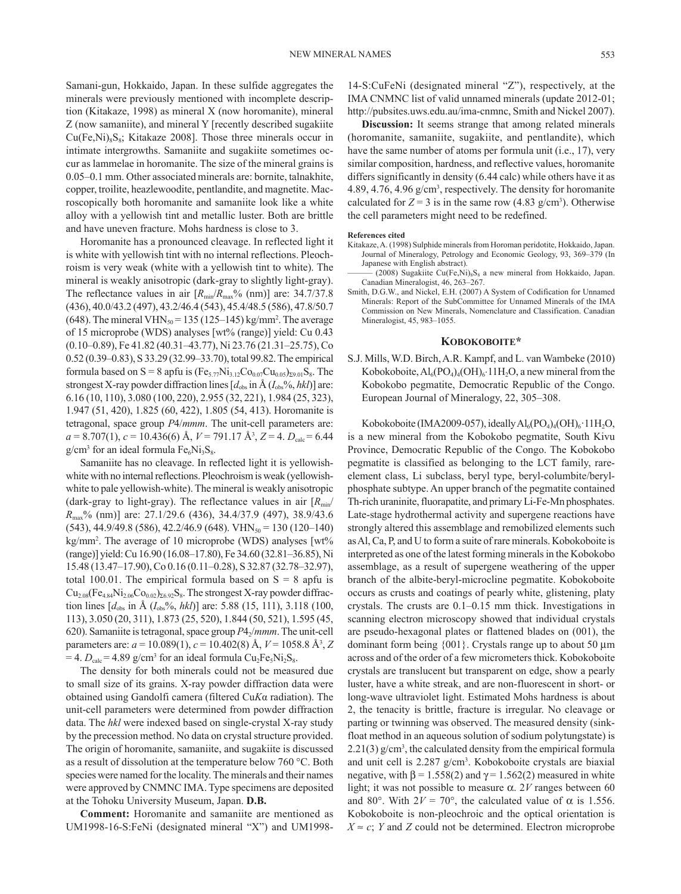Samani-gun, Hokkaido, Japan. In these sulfide aggregates the minerals were previously mentioned with incomplete description (Kitakaze, 1998) as mineral X (now horomanite), mineral Z (now samaniite), and mineral Y [recently described sugakiite  $Cu(Fe,Ni)_{8}S_{8}$ ; Kitakaze 2008]. Those three minerals occur in intimate intergrowths. Samaniite and sugakiite sometimes occur as lammelae in horomanite. The size of the mineral grains is 0.05–0.1 mm. Other associated minerals are: bornite, talnakhite, copper, troilite, heazlewoodite, pentlandite, and magnetite. Macroscopically both horomanite and samaniite look like a white alloy with a yellowish tint and metallic luster. Both are brittle and have uneven fracture. Mohs hardness is close to 3.

Horomanite has a pronounced cleavage. In reflected light it is white with yellowish tint with no internal reflections. Pleochroism is very weak (white with a yellowish tint to white). The mineral is weakly anisotropic (dark-gray to slightly light-gray). The reflectance values in air  $[R_{\text{min}}/R_{\text{max}}\%$  (nm)] are: 34.7/37.8 (436), 40.0/43.2 (497), 43.2/46.4 (543), 45.4/48.5 (586), 47.8/50.7 (648). The mineral VHN<sub>50</sub> = 135 (125–145) kg/mm<sup>2</sup>. The average of 15 microprobe (WDS) analyses [wt% (range)] yield: Cu 0.43 (0.10–0.89), Fe 41.82 (40.31–43.77), Ni 23.76 (21.31–25.75), Co 0.52 (0.39–0.83), S 33.29 (32.99–33.70), total 99.82. The empirical formula based on S = 8 apfu is  $(Fe_{5.77}Ni_{3.12}Co_{0.07}Cu_{0.05})_{\Sigma 9.01}S_8$ . The strongest X-ray powder diffraction lines  $[d_{obs}$  in  $\AA$  ( $I_{obs}$ %, *hkl*)] are: 6.16 (10, 110), 3.080 (100, 220), 2.955 (32, 221), 1.984 (25, 323), 1.947 (51, 420), 1.825 (60, 422), 1.805 (54, 413). Horomanite is tetragonal, space group *P*4/*mmm*. The unit-cell parameters are: *a* = 8.707(1), *c* = 10.436(6) Å, *V* = 791.17 Å3 , *Z* = 4. *D*calc = 6.44  $g/cm<sup>3</sup>$  for an ideal formula  $Fe<sub>6</sub>Ni<sub>3</sub>S<sub>8</sub>$ .

Samaniite has no cleavage. In reflected light it is yellowishwhite with no internal reflections. Pleochroism is weak (yellowishwhite to pale yellowish-white). The mineral is weakly anisotropic (dark-gray to light-gray). The reflectance values in air  $[R_{min}/(R_{min})$ *R*max% (nm)] are: 27.1/29.6 (436), 34.4/37.9 (497), 38.9/43.6  $(543)$ , 44.9/49.8 (586), 42.2/46.9 (648). VHN<sub>50</sub> = 130 (120–140) kg/mm<sup>2</sup>. The average of 10 microprobe (WDS) analyses [wt% (range)] yield: Cu 16.90 (16.08–17.80), Fe 34.60 (32.81–36.85), Ni 15.48 (13.47–17.90), Co 0.16 (0.11–0.28), S 32.87 (32.78–32.97), total 100.01. The empirical formula based on  $S = 8$  apfu is  $Cu_{2.08}(Fe_{4.84}Ni_{2.06}Co_{0.02})_{\Sigma6.92}S_8$ . The strongest X-ray powder diffraction lines  $[d_{obs}$  in Å  $(I_{obs} %, hkl)]$  are: 5.88 (15, 111), 3.118 (100, 113), 3.050 (20, 311), 1.873 (25, 520), 1.844 (50, 521), 1.595 (45, 620). Samaniite is tetragonal, space group  $P4<sub>2</sub>/mmm$ . The unit-cell parameters are: *a* = 10.089(1), *c* = 10.402(8) Å, *V* = 1058.8 Å3 , *Z*  $=$  4.  $D_{\text{calc}}$  = 4.89 g/cm<sup>3</sup> for an ideal formula Cu<sub>2</sub>Fe<sub>5</sub>Ni<sub>2</sub>S<sub>8</sub>.

The density for both minerals could not be measured due to small size of its grains. X-ray powder diffraction data were obtained using Gandolfi camera (filtered Cu*K*α radiation). The unit-cell parameters were determined from powder diffraction data. The *hkl* were indexed based on single-crystal X-ray study by the precession method. No data on crystal structure provided. The origin of horomanite, samaniite, and sugakiite is discussed as a result of dissolution at the temperature below 760 °C. Both species were named for the locality. The minerals and their names were approved by CNMNC IMA. Type specimens are deposited at the Tohoku University Museum, Japan. **D.B.**

**Comment:** Horomanite and samaniite are mentioned as UM1998-16-S:FeNi (designated mineral "X") and UM199814-S:CuFeNi (designated mineral "Z"), respectively, at the IMA CNMNC list of valid unnamed minerals (update 2012-01; http://pubsites.uws.edu.au/ima-cnmnc, Smith and Nickel 2007).

**Discussion:** It seems strange that among related minerals (horomanite, samaniite, sugakiite, and pentlandite), which have the same number of atoms per formula unit (i.e., 17), very similar composition, hardness, and reflective values, horomanite differs significantly in density (6.44 calc) while others have it as 4.89, 4.76, 4.96 g/cm<sup>3</sup>, respectively. The density for horomanite calculated for  $Z = 3$  is in the same row (4.83 g/cm<sup>3</sup>). Otherwise the cell parameters might need to be redefined.

#### **References cited**

- Kitakaze, A. (1998) Sulphide minerals from Horoman peridotite, Hokkaido, Japan. Journal of Mineralogy, Petrology and Economic Geology, 93, 369–379 (In Japanese with English abstract).
- (2008) Sugakiite Cu(Fe,Ni)<sub>8</sub>S<sub>8</sub> a new mineral from Hokkaido, Japan. Canadian Mineralogist, 46, 263–267.
- Smith, D.G.W., and Nickel, E.H. (2007) A System of Codification for Unnamed Minerals: Report of the SubCommittee for Unnamed Minerals of the IMA Commission on New Minerals, Nomenclature and Classification. Canadian Mineralogist, 45, 983–1055.

#### **Kobokoboite\***

S.J. Mills, W.D. Birch, A.R. Kampf, and L. van Wambeke (2010) Kobokoboite,  $Al_6(PO_4)_4(OH)_6.11H_2O$ , a new mineral from the Kobokobo pegmatite, Democratic Republic of the Congo. European Journal of Mineralogy, 22, 305–308.

Kobokoboite (IMA2009-057), ideally  $\text{Al}_{6}(\text{PO}_{4})_{4}(\text{OH})_{6} \cdot 11\text{H}_{2}\text{O}$ , is a new mineral from the Kobokobo pegmatite, South Kivu Province, Democratic Republic of the Congo. The Kobokobo pegmatite is classified as belonging to the LCT family, rareelement class, Li subclass, beryl type, beryl-columbite/berylphosphate subtype. An upper branch of the pegmatite contained Th-rich uraninite, fluorapatite, and primary Li-Fe-Mn phosphates. Late-stage hydrothermal activity and supergene reactions have strongly altered this assemblage and remobilized elements such as Al, Ca, P, and U to form a suite of rare minerals. Kobokoboite is interpreted as one of the latest forming minerals in the Kobokobo assemblage, as a result of supergene weathering of the upper branch of the albite-beryl-microcline pegmatite. Kobokoboite occurs as crusts and coatings of pearly white, glistening, platy crystals. The crusts are 0.1–0.15 mm thick. Investigations in scanning electron microscopy showed that individual crystals are pseudo-hexagonal plates or flattened blades on (001), the dominant form being  ${001}$ . Crystals range up to about 50  $\mu$ m across and of the order of a few micrometers thick. Kobokoboite crystals are translucent but transparent on edge, show a pearly luster, have a white streak, and are non-fluorescent in short- or long-wave ultraviolet light. Estimated Mohs hardness is about 2, the tenacity is brittle, fracture is irregular. No cleavage or parting or twinning was observed. The measured density (sinkfloat method in an aqueous solution of sodium polytungstate) is  $2.21(3)$  g/cm<sup>3</sup>, the calculated density from the empirical formula and unit cell is 2.287 g/cm3 . Kobokoboite crystals are biaxial negative, with  $\beta$  = 1.558(2) and  $\gamma$  = 1.562(2) measured in white light; it was not possible to measure  $\alpha$ . 2V ranges between 60 and 80°. With  $2V = 70$ °, the calculated value of  $\alpha$  is 1.556. Kobokoboite is non-pleochroic and the optical orientation is  $X \approx c$ ; *Y* and *Z* could not be determined. Electron microprobe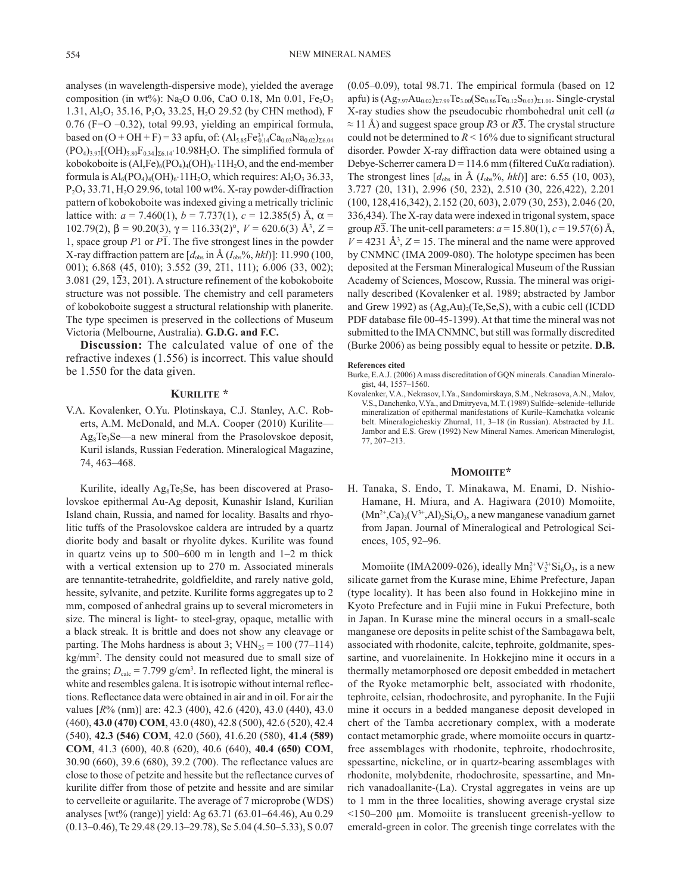analyses (in wavelength-dispersive mode), yielded the average composition (in wt%): Na<sub>2</sub>O 0.06, CaO 0.18, Mn 0.01, Fe<sub>2</sub>O<sub>3</sub> 1.31, Al<sub>2</sub>O<sub>3</sub> 35.16, P<sub>2</sub>O<sub>5</sub> 33.25, H<sub>2</sub>O 29.52 (by CHN method), F 0.76 (F=O –0.32), total 99.93, yielding an empirical formula, based on  $(O + OH + F) = 33$  apfu, of:  $(Al_{5.85}Fe_{0.14}^{3+}Ca_{0.03}Na_{0.02})_{\Sigma 6.04}$  $(PO_4)_{3.97}[(OH)_{5.80}F_{0.34}]_{\Sigma 6.14}$  10.98H<sub>2</sub>O. The simplified formula of kobokoboite is  $(AI,Fe)_{6}(PO_{4})_{4}(OH)_{6} \cdot 11H_{2}O$ , and the end-member formula is  $Al_6(PO_4)_4(OH)_6·11H_2O$ , which requires:  $Al_2O_3 36.33$ ,  $P_2O_5$  33.71,  $H_2O$  29.96, total 100 wt%. X-ray powder-diffraction pattern of kobokoboite was indexed giving a metrically triclinic lattice with:  $a = 7.460(1)$ ,  $b = 7.737(1)$ ,  $c = 12.385(5)$  Å,  $\alpha =$ 102.79(2), β = 90.20(3),  $\gamma$  = 116.33(2)°, *V* = 620.6(3) Å<sup>3</sup>, *Z* = 1, space group *P*1 or *P*1. The five strongest lines in the powder X-ray diffraction pattern are  $[d_{obs}$  in Å  $(I_{obs} %$ <sup>0</sup>, hkl)]: 11.990 (100, 001); 6.868 (45, 010); 3.552 (39, 211, 111); 6.006 (33, 002); 3.081 (29, 1 $\overline{2}3$ , 201). A structure refinement of the kobokoboite structure was not possible. The chemistry and cell parameters of kobokoboite suggest a structural relationship with planerite. The type specimen is preserved in the collections of Museum Victoria (Melbourne, Australia). **G.D.G. and F.C.**

**Discussion:** The calculated value of one of the refractive indexes (1.556) is incorrect. This value should be 1.550 for the data given.

### **Kurilite \***

V.A. Kovalenker, O.Yu. Plotinskaya, C.J. Stanley, A.C. Roberts, A.M. McDonald, and M.A. Cooper (2010) Kurilite— Ag8Te3Se—a new mineral from the Prasolovskoe deposit, Kuril islands, Russian Federation. Mineralogical Magazine, 74, 463–468.

Kurilite, ideally Ag<sub>8</sub>Te<sub>3</sub>Se, has been discovered at Prasolovskoe epithermal Au-Ag deposit, Kunashir Island, Kurilian Island chain, Russia, and named for locality. Basalts and rhyolitic tuffs of the Prasolovskoe caldera are intruded by a quartz diorite body and basalt or rhyolite dykes. Kurilite was found in quartz veins up to 500–600 m in length and 1–2 m thick with a vertical extension up to 270 m. Associated minerals are tennantite-tetrahedrite, goldfieldite, and rarely native gold, hessite, sylvanite, and petzite. Kurilite forms aggregates up to 2 mm, composed of anhedral grains up to several micrometers in size. The mineral is light- to steel-gray, opaque, metallic with a black streak. It is brittle and does not show any cleavage or parting. The Mohs hardness is about 3;  $VHN_{25} = 100 (77-114)$ kg/mm2 . The density could not measured due to small size of the grains;  $D_{\text{calc}} = 7.799 \text{ g/cm}^3$ . In reflected light, the mineral is white and resembles galena. It is isotropic without internal reflections. Reflectance data were obtained in air and in oil. For air the values [*R*% (nm)] are: 42.3 (400), 42.6 (420), 43.0 (440), 43.0 (460), **43.0 (470) COM**, 43.0 (480), 42.8 (500), 42.6 (520), 42.4 (540), **42.3 (546) COM**, 42.0 (560), 41.6.20 (580), **41.4 (589) COM**, 41.3 (600), 40.8 (620), 40.6 (640), **40.4 (650) COM**, 30.90 (660), 39.6 (680), 39.2 (700). The reflectance values are close to those of petzite and hessite but the reflectance curves of kurilite differ from those of petzite and hessite and are similar to cervelleite or aguilarite. The average of 7 microprobe (WDS) analyses [wt% (range)] yield: Ag 63.71 (63.01–64.46), Au 0.29 (0.13–0.46), Te 29.48 (29.13–29.78), Se 5.04 (4.50–5.33), S 0.07

(0.05–0.09), total 98.71. The empirical formula (based on 12 apfu) is  $(Ag_{7.97}Au_{0.02})_{\Sigma7.99}Te_{3.00}(Se_{0.86}Te_{0.12}S_{0.03})_{\Sigma1.01}$ . Single-crystal X-ray studies show the pseudocubic rhombohedral unit cell (*a*  ≈ 11 Å) and suggest space group *R*3 or *R*3. The crystal structure could not be determined to  $R < 16\%$  due to significant structural disorder. Powder X-ray diffraction data were obtained using a Debye-Scherrer camera D = 114.6 mm (filtered Cu*K*α radiation). The strongest lines  $[d_{obs}$  in Å  $(I_{obs}\%$ , *hkl*)] are: 6.55 (10, 003), 3.727 (20, 131), 2.996 (50, 232), 2.510 (30, 226,422), 2.201 (100, 128,416,342), 2.152 (20, 603), 2.079 (30, 253), 2.046 (20, 336,434). The X-ray data were indexed in trigonal system, space group  $R\overline{3}$ . The unit-cell parameters:  $a = 15.80(1)$ ,  $c = 19.57(6)$  Å,  $V = 4231 \text{ Å}^3$ ,  $Z = 15$ . The mineral and the name were approved by CNMNC (IMA 2009-080). The holotype specimen has been deposited at the Fersman Mineralogical Museum of the Russian Academy of Sciences, Moscow, Russia. The mineral was originally described (Kovalenker et al. 1989; abstracted by Jambor and Grew 1992) as  $(Ag,Au)_{2}(Te,Se,S)$ , with a cubic cell (ICDD PDF database file 00-45-1399). At that time the mineral was not submitted to the IMA CNMNC, but still was formally discredited (Burke 2006) as being possibly equal to hessite or petzite. **D.B.**

#### **References cited**

- Burke, E.A.J. (2006) A mass discreditation of GQN minerals. Canadian Mineralogist, 44, 1557–1560.
- Kovalenker, V.A., Nekrasov, I.Ya., Sandomirskaya, S.M., Nekrasova, A.N., Malov, V.S., Danchenko, V.Ya., and Dmitryeva, M.T. (1989) Sulfide–selenide–telluride mineralization of epithermal manifestations of Kurile–Kamchatka volcanic belt. Mineralogicheskiy Zhurnal, 11, 3–18 (in Russian). Abstracted by J.L. Jambor and E.S. Grew (1992) New Mineral Names. American Mineralogist, 77, 207–213.

#### MOMOIITE\*

H. Tanaka, S. Endo, T. Minakawa, M. Enami, D. Nishio-Hamane, H. Miura, and A. Hagiwara (2010) Momoiite,  $(Mn^{2+},Ca)_{3}(V^{3+},Al)_{2}Si_{6}O_{3}$ , a new manganese vanadium garnet from Japan. Journal of Mineralogical and Petrological Sciences, 105, 92–96.

Momoiite (IMA2009-026), ideally  $Mn_3^{2+}V_2^{3+}Si_6O_3$ , is a new silicate garnet from the Kurase mine, Ehime Prefecture, Japan (type locality). It has been also found in Hokkejino mine in Kyoto Prefecture and in Fujii mine in Fukui Prefecture, both in Japan. In Kurase mine the mineral occurs in a small-scale manganese ore deposits in pelite schist of the Sambagawa belt, associated with rhodonite, calcite, tephroite, goldmanite, spessartine, and vuorelainenite. In Hokkejino mine it occurs in a thermally metamorphosed ore deposit embedded in metachert of the Ryoke metamorphic belt, associated with rhodonite, tephroite, celsian, rhodochrosite, and pyrophanite. In the Fujii mine it occurs in a bedded manganese deposit developed in chert of the Tamba accretionary complex, with a moderate contact metamorphic grade, where momoiite occurs in quartzfree assemblages with rhodonite, tephroite, rhodochrosite, spessartine, nickeline, or in quartz-bearing assemblages with rhodonite, molybdenite, rhodochrosite, spessartine, and Mnrich vanadoallanite-(La). Crystal aggregates in veins are up to 1 mm in the three localities, showing average crystal size <150–200 μm. Momoiite is translucent greenish-yellow to emerald-green in color. The greenish tinge correlates with the